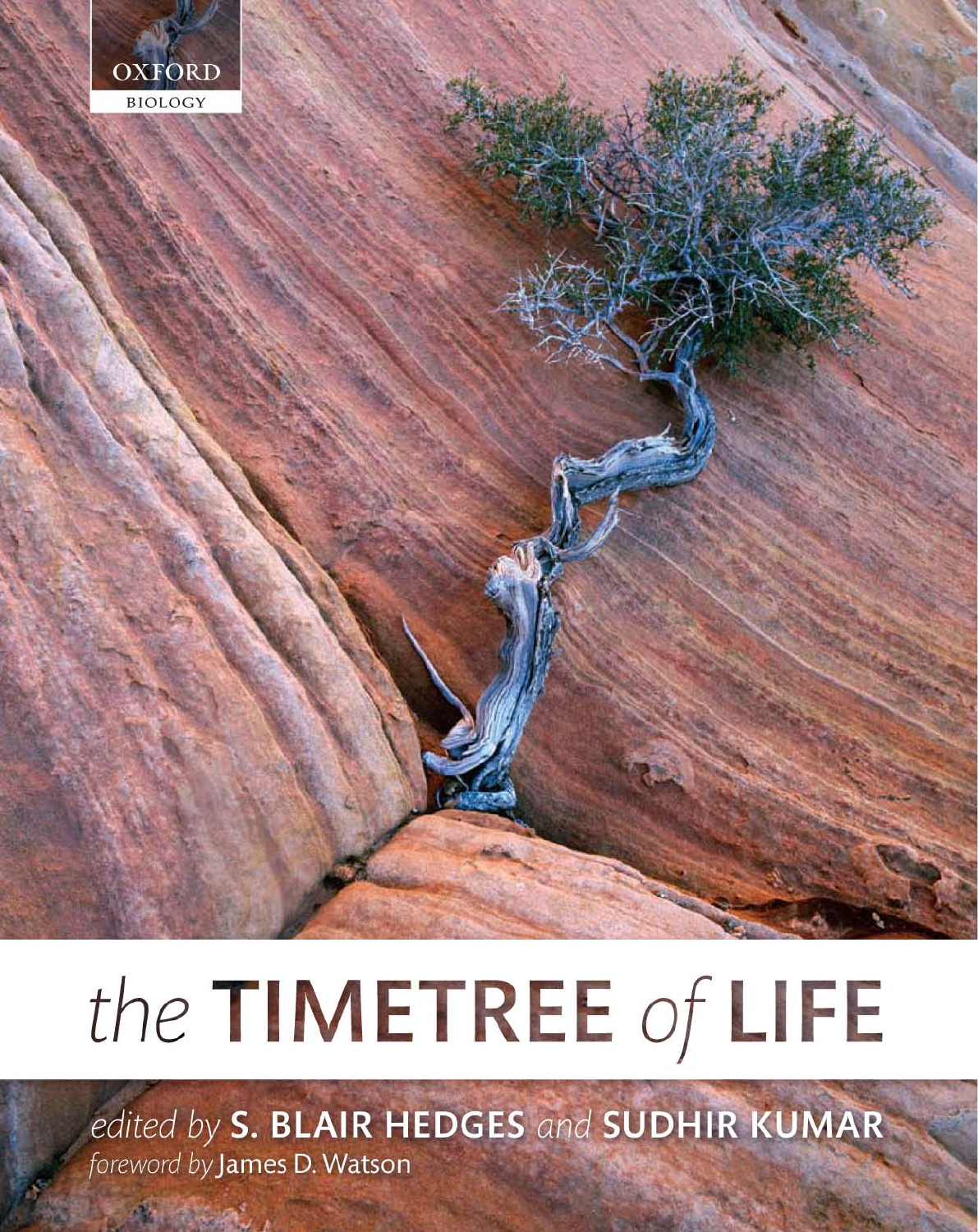

# the TIMETREE of LIFE

edited by S. BLAIR HEDGES and SUDHIR KUMAR foreword by James D. Watson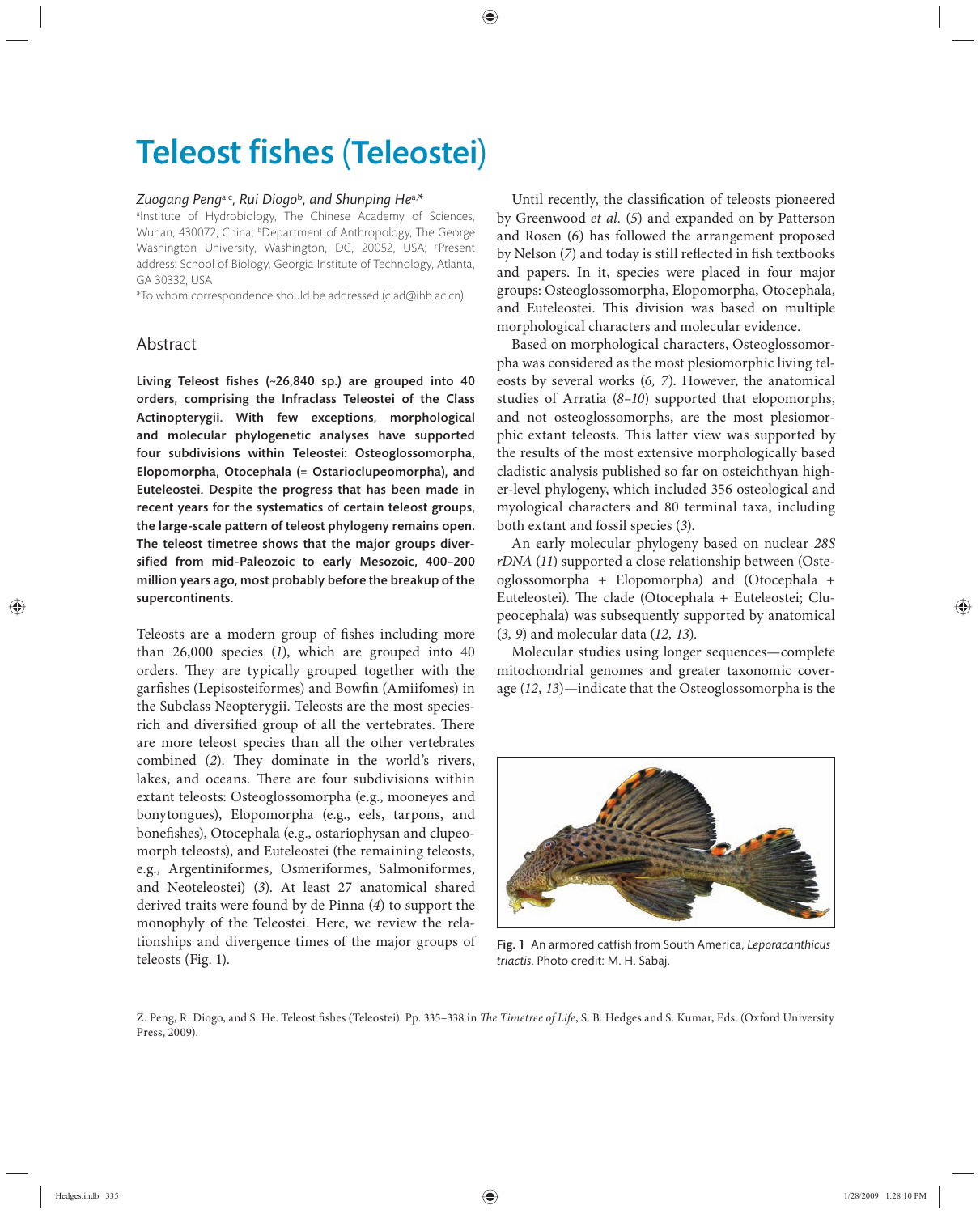## **Teleost fishes (Teleostei)**

#### *Zuogang Peng*a,c*, Rui Diogo*<sup>b</sup>*, and Shunping He*a,*\**

alnstitute of Hydrobiology, The Chinese Academy of Sciences, Wuhan, 430072, China; <sup>b</sup>Department of Anthropology, The George Washington University, Washington, DC, 20052, USA; <sup>c</sup>Present address: School of Biology, Georgia Institute of Technology, Atlanta, GA 30332, USA

\*To whom correspondence should be addressed (clad@ihb.ac.cn)

### Abstract

Living Teleost fishes  $(-26,840 \text{ sp.})$  are grouped into 40 orders, comprising the Infraclass Teleostei of the Class Actinopterygii. With few exceptions, morphological and molecular phylogenetic analyses have supported four subdivisions within Teleostei: Osteoglossomorpha, Elopomorpha, Otocephala (= Ostarioclupeomorpha), and Euteleostei. Despite the progress that has been made in recent years for the systematics of certain teleost groups, the large-scale pattern of teleost phylogeny remains open. The teleost timetree shows that the major groups diversified from mid-Paleozoic to early Mesozoic, 400-200 million years ago, most probably before the breakup of the supercontinents.

Teleosts are a modern group of fishes including more than  $26,000$  species  $(1)$ , which are grouped into  $40$ orders. They are typically grouped together with the garfishes (Lepisosteiformes) and Bowfin (Amiifomes) in the Subclass Neopterygii. Teleosts are the most speciesrich and diversified group of all the vertebrates. There are more teleost species than all the other vertebrates combined (2). They dominate in the world's rivers, lakes, and oceans. There are four subdivisions within extant teleosts: Osteoglossomorpha (e.g., mooneyes and bonytongues), Elopomorpha (e.g., eels, tarpons, and bonefishes), Otocephala (e.g., ostariophysan and clupeomorph teleosts), and Euteleostei (the remaining teleosts, e.g., Argentiniformes, Osmeriformes, Salmoniformes, and Neoteleostei) (*3*). At least 27 anatomical shared derived traits were found by de Pinna (*4*) to support the monophyly of the Teleostei. Here, we review the relationships and divergence times of the major groups of teleosts (Fig. 1).

Until recently, the classification of teleosts pioneered by Greenwood *et al.* (*5*) and expanded on by Patterson and Rosen (*6*) has followed the arrangement proposed by Nelson (7) and today is still reflected in fish textbooks and papers. In it, species were placed in four major groups: Osteoglossomorpha, Elopomorpha, Otocephala, and Euteleostei. This division was based on multiple morphological characters and molecular evidence.

Based on morphological characters, Osteoglossomorpha was considered as the most plesiomorphic living teleosts by several works (*6, 7*). However, the anatomical studies of Arratia (*8–10*) supported that elopomorphs, and not osteoglossomorphs, are the most plesiomorphic extant teleosts. This latter view was supported by the results of the most extensive morphologically based cladistic analysis published so far on osteichthyan higher-level phylogeny, which included 356 osteological and myological characters and 80 terminal taxa, including both extant and fossil species (*3*).

An early molecular phylogeny based on nuclear *28S rDNA* (*11*) supported a close relationship between (Osteoglossomorpha + Elopomorpha) and (Otocephala + Euteleostei). The clade (Otocephala + Euteleostei; Clupeocephala) was subsequently supported by anatomical (*3, 9*) and molecular data (*12, 13*).

Molecular studies using longer sequences—complete mitochondrial genomes and greater taxonomic coverage (*12, 13*)—indicate that the Osteoglossomorpha is the



Fig. 1 An armored catfish from South America, Leporacanthicus *triactis*. Photo credit: M. H. Sabaj.

Z. Peng, R. Diogo, and S. He. Teleost fishes (Teleostei). Pp. 335-338 in *The Timetree of Life*, S. B. Hedges and S. Kumar, Eds. (Oxford University Press, 2009).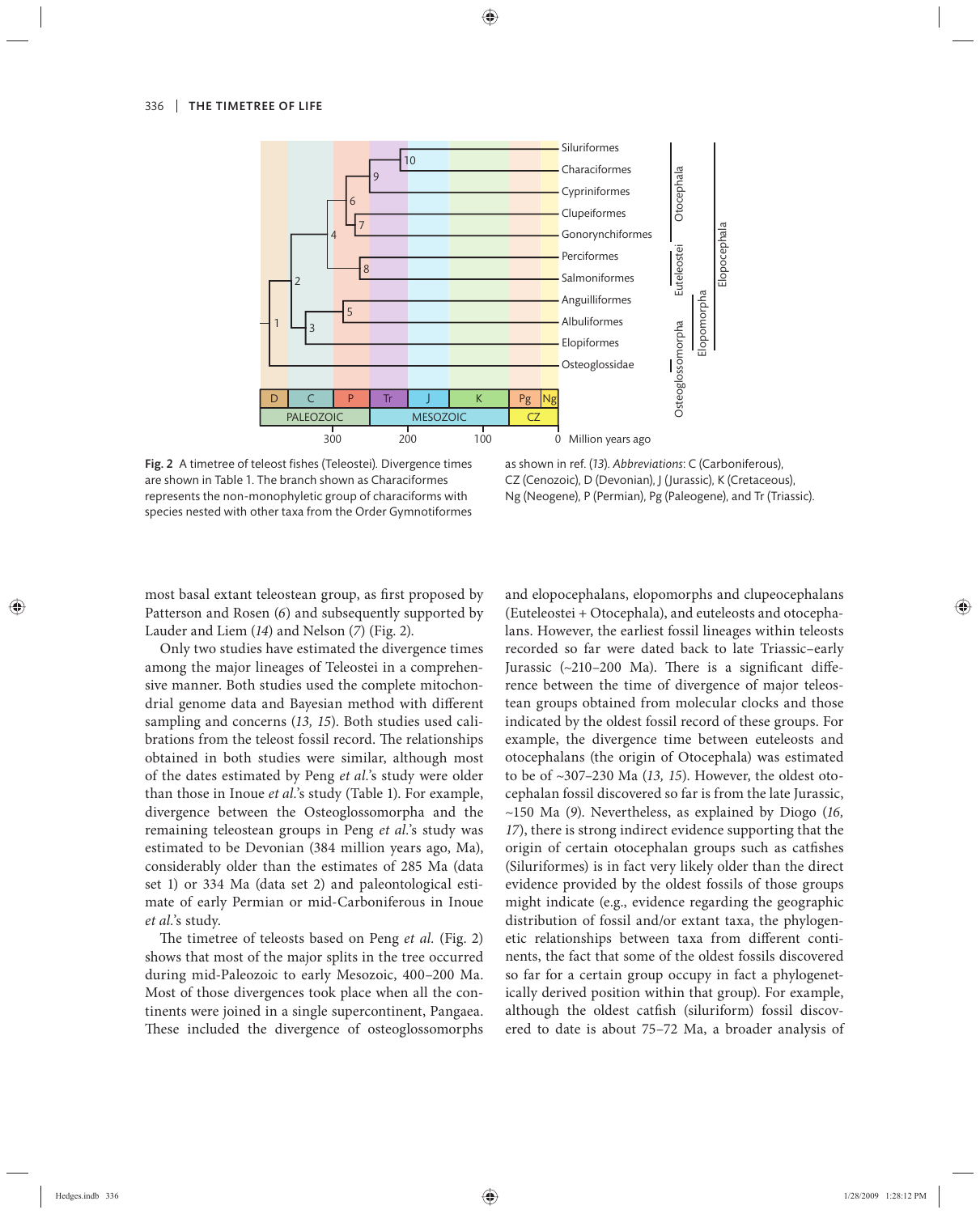

Fig. 2 A timetree of teleost fishes (Teleostei). Divergence times are shown in Table 1. The branch shown as Characiformes represents the non-monophyletic group of characiforms with species nested with other taxa from the Order Gymnotiformes

as shown in ref. (*13*). *Abbreviations*: C (Carboniferous), CZ (Cenozoic), D (Devonian), J (Jurassic), K (Cretaceous), Ng (Neogene), P (Permian), Pg (Paleogene), and Tr (Triassic).

most basal extant teleostean group, as first proposed by Patterson and Rosen (*6*) and subsequently supported by Lauder and Liem (*14*) and Nelson (*7*) (Fig. 2).

Only two studies have estimated the divergence times among the major lineages of Teleostei in a comprehensive manner. Both studies used the complete mitochondrial genome data and Bayesian method with different sampling and concerns (*13, 15*). Both studies used calibrations from the teleost fossil record. The relationships obtained in both studies were similar, although most of the dates estimated by Peng *et al.*'s study were older than those in Inoue *et al.*'s study (Table 1). For example, divergence between the Osteoglossomorpha and the remaining teleostean groups in Peng et al.'s study was estimated to be Devonian (384 million years ago, Ma), considerably older than the estimates of 285 Ma (data set 1) or 334 Ma (data set 2) and paleontological estimate of early Permian or mid-Carboniferous in Inoue *et al.*'s study.

The timetree of teleosts based on Peng *et al.* (Fig. 2) shows that most of the major splits in the tree occurred during mid-Paleozoic to early Mesozoic, 400–200 Ma. Most of those divergences took place when all the continents were joined in a single supercontinent, Pangaea. These included the divergence of osteoglossomorphs and elopocephalans, elopomorphs and clupeocephalans (Euteleostei + Otocephala), and euteleosts and otocephalans. However, the earliest fossil lineages within teleosts recorded so far were dated back to late Triassic–early Jurassic  $(\sim 210 - 200$  Ma). There is a significant difference between the time of divergence of major teleostean groups obtained from molecular clocks and those indicated by the oldest fossil record of these groups. For example, the divergence time between euteleosts and otocephalans (the origin of Otocephala) was estimated to be of ~307–230 Ma (*13, 15*). However, the oldest otocephalan fossil discovered so far is from the late Jurassic, ~150 Ma (*9*). Nevertheless, as explained by Diogo (*16, 17*), there is strong indirect evidence supporting that the origin of certain otocephalan groups such as catfishes (Siluriformes) is in fact very likely older than the direct evidence provided by the oldest fossils of those groups might indicate (e.g., evidence regarding the geographic distribution of fossil and/or extant taxa, the phylogenetic relationships between taxa from different continents, the fact that some of the oldest fossils discovered so far for a certain group occupy in fact a phylogenetically derived position within that group). For example, although the oldest catfish (siluriform) fossil discovered to date is about 75–72 Ma, a broader analysis of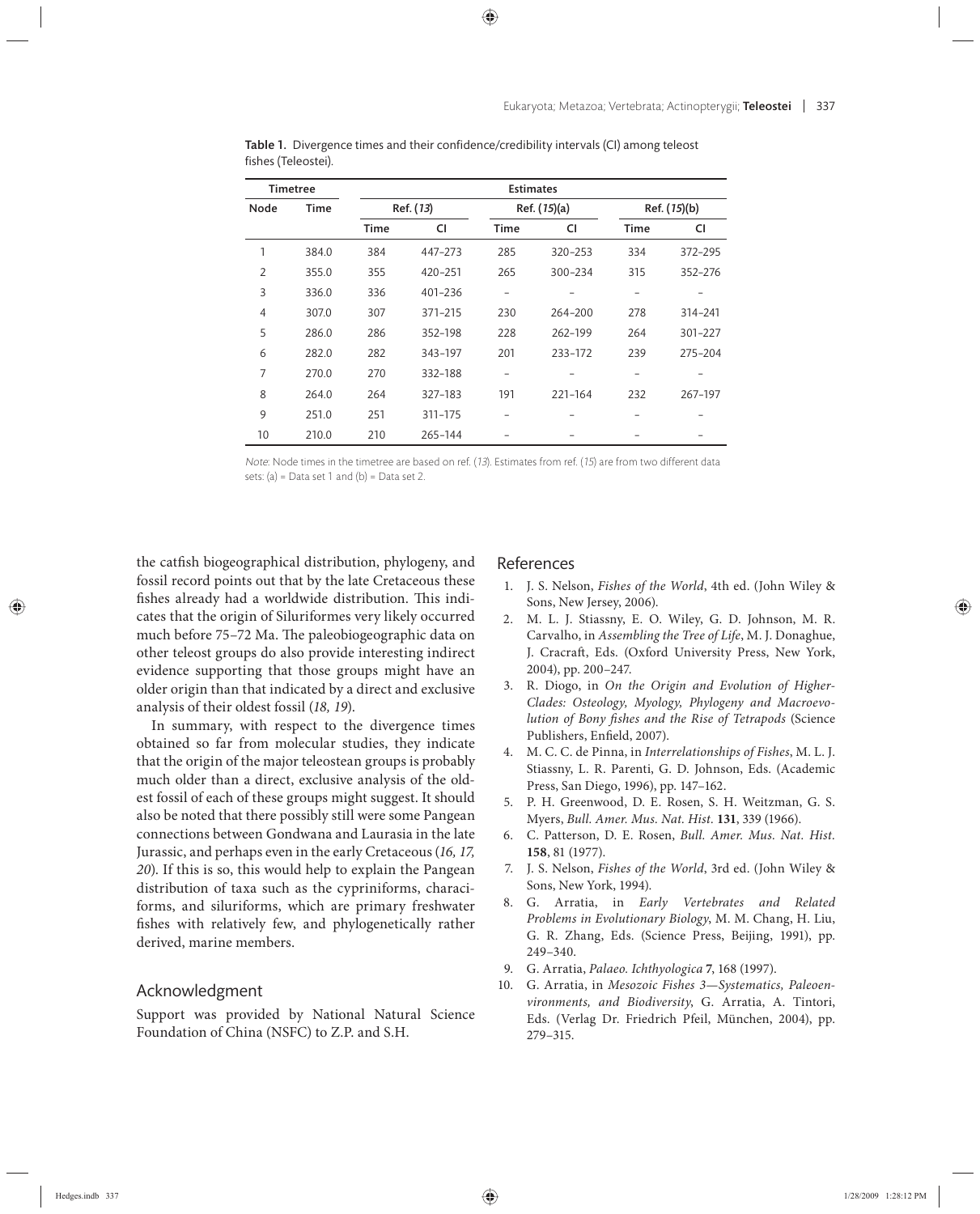| <b>Timetree</b> |       | <b>Estimates</b> |         |                          |         |              |         |
|-----------------|-------|------------------|---------|--------------------------|---------|--------------|---------|
| Node            | Time  | Ref. (13)        |         | Ref. (15)(a)             |         | Ref. (15)(b) |         |
|                 |       | Time             | CI      | <b>Time</b>              | CI      | <b>Time</b>  | CI      |
| 1               | 384.0 | 384              | 447-273 | 285                      | 320-253 | 334          | 372-295 |
| $\overline{2}$  | 355.0 | 355              | 420-251 | 265                      | 300-234 | 315          | 352-276 |
| 3               | 336.0 | 336              | 401-236 | $\overline{\phantom{0}}$ |         |              |         |
| $\overline{4}$  | 307.0 | 307              | 371-215 | 230                      | 264-200 | 278          | 314-241 |
| 5               | 286.0 | 286              | 352-198 | 228                      | 262-199 | 264          | 301-227 |
| 6               | 282.0 | 282              | 343-197 | 201                      | 233-172 | 239          | 275-204 |
| 7               | 270.0 | 270              | 332-188 |                          |         |              |         |
| 8               | 264.0 | 264              | 327-183 | 191                      | 221-164 | 232          | 267-197 |
| 9               | 251.0 | 251              | 311-175 |                          |         |              |         |
| 10              | 210.0 | 210              | 265-144 |                          |         |              |         |

Table 1. Divergence times and their confidence/credibility intervals (CI) among teleost fishes (Teleostei).

Note: Node times in the timetree are based on ref. (13). Estimates from ref. (15) are from two different data sets:  $(a)$  = Data set 1 and  $(b)$  = Data set 2.

the catfish biogeographical distribution, phylogeny, and fossil record points out that by the late Cretaceous these fishes already had a worldwide distribution. This indicates that the origin of Siluriformes very likely occurred much before 75-72 Ma. The paleobiogeographic data on other teleost groups do also provide interesting indirect evidence supporting that those groups might have an older origin than that indicated by a direct and exclusive analysis of their oldest fossil (*18, 19*).

In summary, with respect to the divergence times obtained so far from molecular studies, they indicate that the origin of the major teleostean groups is probably much older than a direct, exclusive analysis of the oldest fossil of each of these groups might suggest. It should also be noted that there possibly still were some Pangean connections between Gondwana and Laurasia in the late Jurassic, and perhaps even in the early Cretaceous (*16, 17, 20*). If this is so, this would help to explain the Pangean distribution of taxa such as the cypriniforms, characiforms, and siluriforms, which are primary freshwater fishes with relatively few, and phylogenetically rather derived, marine members.

### Acknowledgment

Support was provided by National Natural Science Foundation of China (NSFC) to Z.P. and S.H.

### References

- 1. J. S. Nelson, *Fishes of the World*, 4th ed. (John Wiley & Sons, New Jersey, 2006).
- 2. M. L. J. Stiassny, E. O. Wiley, G. D. Johnson, M. R. Carvalho, in *Assembling the Tree of Life*, M. J. Donaghue, J. Cracraft, Eds. (Oxford University Press, New York, 2004), pp. 200–247.
- 3. R. Diogo, in *On the Origin and Evolution of Higher-Clades: Osteology, Myology, Phylogeny and Macroevolution of Bony A shes and the Rise of Tetrapods* (Science Publishers, Enfield, 2007).
- 4. M. C. C. de Pinna, in *Interrelationships of Fishes*, M. L. J. Stiassny, L. R. Parenti, G. D. Johnson, Eds. (Academic Press, San Diego, 1996), pp. 147–162.
- 5. P. H. Greenwood, D. E. Rosen, S. H. Weitzman, G. S. Myers, *Bull. Amer. Mus. Nat. Hist.* **131**, 339 (1966).
- 6. C. Patterson, D. E. Rosen, *Bull. Amer. Mus. Nat. Hist.* **158**, 81 (1977).
- 7. J. S. Nelson, *Fishes of the World*, 3rd ed. (John Wiley & Sons, New York, 1994).
- 8. G. Arratia, in *Early Vertebrates and Related Problems in Evolutionary Biology*, M. M. Chang, H. Liu, G. R. Zhang, Eds. (Science Press, Beijing, 1991), pp. 249–340.
- 9. G. Arratia, *Palaeo. Ichthyologica* **7**, 168 (1997).
- 10. G. Arratia, in *Mesozoic Fishes 3—Systematics, Paleoenvironments, and Biodiversity*, G. Arratia, A. Tintori, Eds. (Verlag Dr. Friedrich Pfeil, München, 2004), pp. 279–315.